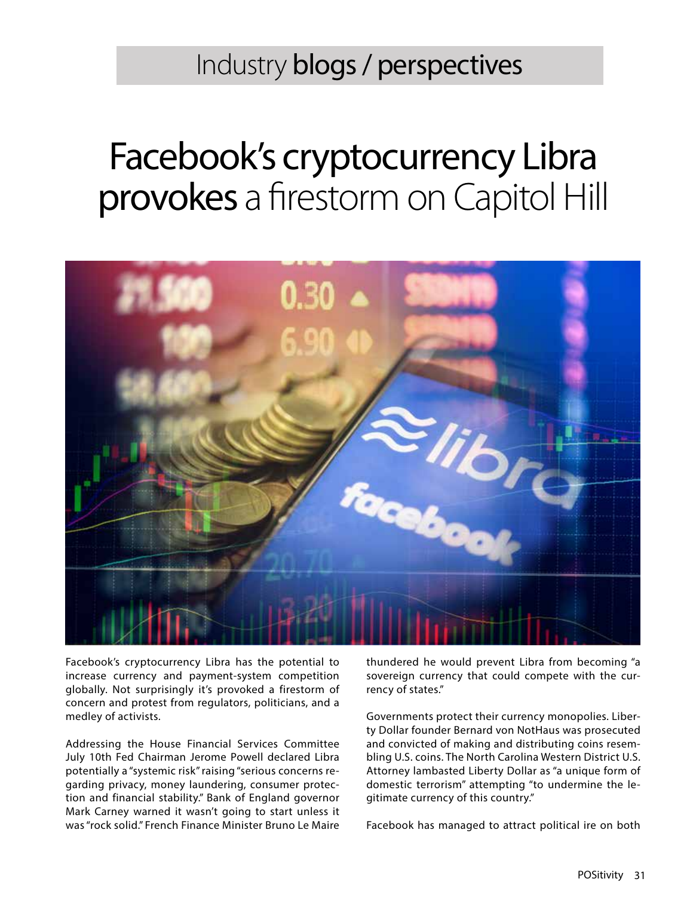Industry blogs / perspectives

## Facebook's cryptocurrency Libra provokes a firestorm on Capitol Hill



Facebook's cryptocurrency Libra has the potential to increase currency and payment-system competition globally. Not surprisingly it's provoked a firestorm of concern and protest from regulators, politicians, and a medley of activists.

Addressing the House Financial Services Committee July 10th Fed Chairman Jerome Powell declared Libra potentially a "systemic risk" raising "serious concerns regarding privacy, money laundering, consumer protection and financial stability." Bank of England governor Mark Carney warned it wasn't going to start unless it was "rock solid." French Finance Minister Bruno Le Maire

thundered he would prevent Libra from becoming "a sovereign currency that could compete with the currency of states."

Governments protect their currency monopolies. Liberty Dollar founder Bernard von NotHaus was prosecuted and convicted of making and distributing coins resembling U.S. coins. The North Carolina Western District U.S. Attorney lambasted Liberty Dollar as "a unique form of domestic terrorism" attempting "to undermine the legitimate currency of this country."

Facebook has managed to attract political ire on both